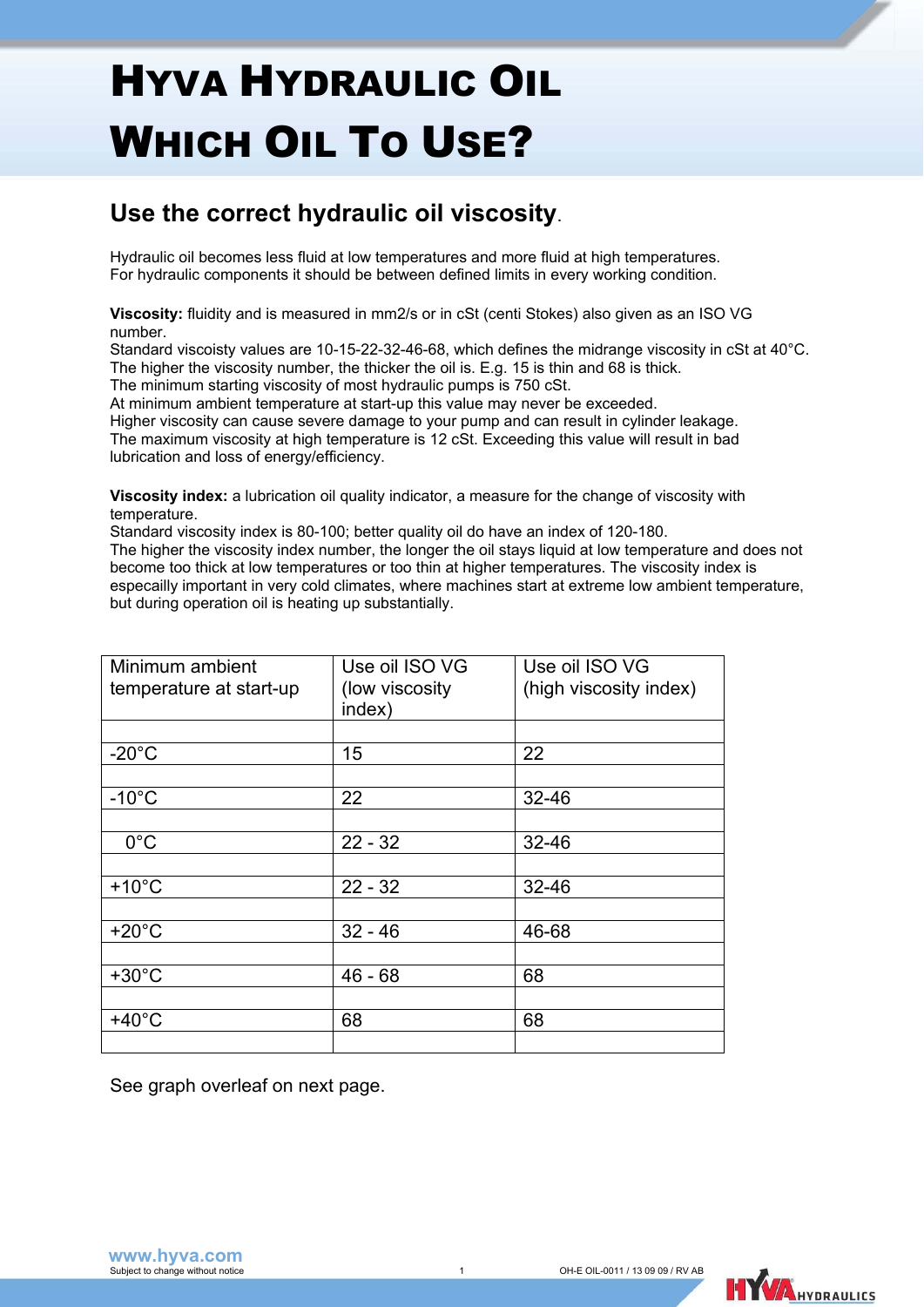## HYVA HYDRAULIC OIL WHICH OIL TO USE?

## **Use the correct hydraulic oil viscosity**.

Hydraulic oil becomes less fluid at low temperatures and more fluid at high temperatures. For hydraulic components it should be between defined limits in every working condition.

**Viscosity:** fluidity and is measured in mm2/s or in cSt (centi Stokes) also given as an ISO VG number.

Standard viscoisty values are 10-15-22-32-46-68, which defines the midrange viscosity in cSt at 40°C. The higher the viscosity number, the thicker the oil is. E.g. 15 is thin and 68 is thick.

The minimum starting viscosity of most hydraulic pumps is 750 cSt.

At minimum ambient temperature at start-up this value may never be exceeded.

Higher viscosity can cause severe damage to your pump and can result in cylinder leakage. The maximum viscosity at high temperature is 12 cSt. Exceeding this value will result in bad lubrication and loss of energy/efficiency.

**Viscosity index:** a lubrication oil quality indicator, a measure for the change of viscosity with temperature.

Standard viscosity index is 80-100; better quality oil do have an index of 120-180.

The higher the viscosity index number, the longer the oil stays liquid at low temperature and does not become too thick at low temperatures or too thin at higher temperatures. The viscosity index is especailly important in very cold climates, where machines start at extreme low ambient temperature, but during operation oil is heating up substantially.

| Minimum ambient         | Use oil ISO VG            | Use oil ISO VG         |
|-------------------------|---------------------------|------------------------|
| temperature at start-up | (low viscosity)<br>index) | (high viscosity index) |
|                         |                           |                        |
| $-20^{\circ}$ C         | 15                        | 22                     |
|                         |                           |                        |
| $-10^{\circ}$ C         | 22                        | $32 - 46$              |
|                         |                           |                        |
| $0^{\circ}$ C           | $22 - 32$                 | $32 - 46$              |
|                         |                           |                        |
| $+10^{\circ}$ C         | $22 - 32$                 | $32 - 46$              |
|                         |                           |                        |
| $+20^{\circ}$ C         | $32 - 46$                 | 46-68                  |
|                         |                           |                        |
| $+30^{\circ}$ C         | $46 - 68$                 | 68                     |
|                         |                           |                        |
| $+40^{\circ}$ C         | 68                        | 68                     |
|                         |                           |                        |

See graph overleaf on next page.